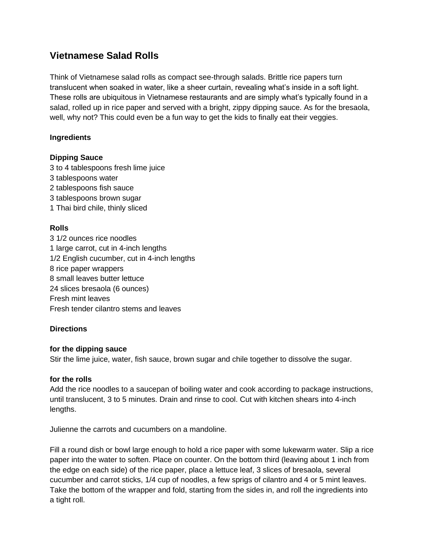# **Vietnamese Salad Rolls**

Think of Vietnamese salad rolls as compact see-through salads. Brittle rice papers turn translucent when soaked in water, like a sheer curtain, revealing what's inside in a soft light. These rolls are ubiquitous in Vietnamese restaurants and are simply what's typically found in a salad, rolled up in rice paper and served with a bright, zippy dipping sauce. As for the bresaola, well, why not? This could even be a fun way to get the kids to finally eat their veggies.

## **Ingredients**

## **Dipping Sauce**

3 to 4 tablespoons fresh lime juice 3 tablespoons water 2 tablespoons fish sauce

- 3 tablespoons brown sugar
- 1 Thai bird chile, thinly sliced

## **Rolls**

3 1/2 ounces rice noodles 1 large carrot, cut in 4-inch lengths 1/2 English cucumber, cut in 4-inch lengths 8 rice paper wrappers 8 small leaves butter lettuce 24 slices bresaola (6 ounces) Fresh mint leaves Fresh tender cilantro stems and leaves

### **Directions**

### **for the dipping sauce**

Stir the lime juice, water, fish sauce, brown sugar and chile together to dissolve the sugar.

### **for the rolls**

Add the rice noodles to a saucepan of boiling water and cook according to package instructions, until translucent, 3 to 5 minutes. Drain and rinse to cool. Cut with kitchen shears into 4-inch lengths.

Julienne the carrots and cucumbers on a mandoline.

Fill a round dish or bowl large enough to hold a rice paper with some lukewarm water. Slip a rice paper into the water to soften. Place on counter. On the bottom third (leaving about 1 inch from the edge on each side) of the rice paper, place a lettuce leaf, 3 slices of bresaola, several cucumber and carrot sticks, 1/4 cup of noodles, a few sprigs of cilantro and 4 or 5 mint leaves. Take the bottom of the wrapper and fold, starting from the sides in, and roll the ingredients into a tight roll.